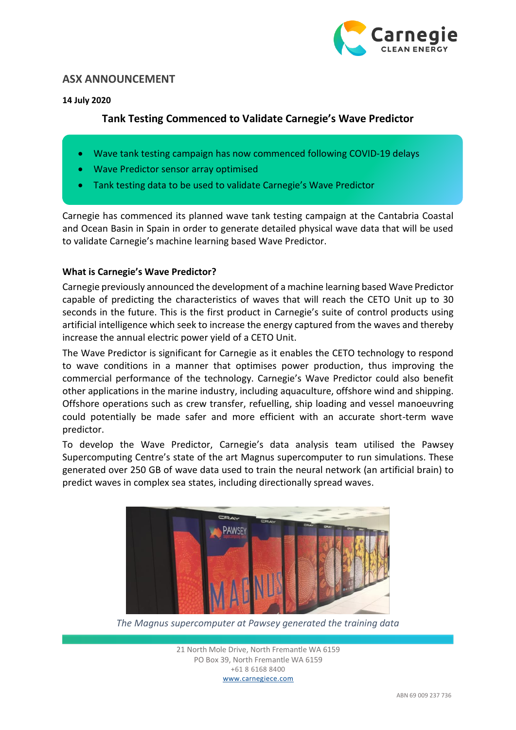

# **ASX ANNOUNCEMENT**

#### **14 July 2020**

# **Tank Testing Commenced to Validate Carnegie's Wave Predictor**

- Wave tank testing campaign has now commenced following COVID-19 delays
- Wave Predictor sensor array optimised
- Tank testing data to be used to validate Carnegie's Wave Predictor

Carnegie has commenced its planned wave tank testing campaign at the Cantabria Coastal and Ocean Basin in Spain in order to generate detailed physical wave data that will be used to validate Carnegie's machine learning based Wave Predictor.

### **What is Carnegie's Wave Predictor?**

Carnegie previously announced the development of a machine learning based Wave Predictor capable of predicting the characteristics of waves that will reach the CETO Unit up to 30 seconds in the future. This is the first product in Carnegie's suite of control products using artificial intelligence which seek to increase the energy captured from the waves and thereby increase the annual electric power yield of a CETO Unit.

The Wave Predictor is significant for Carnegie as it enables the CETO technology to respond to wave conditions in a manner that optimises power production, thus improving the commercial performance of the technology. Carnegie's Wave Predictor could also benefit other applications in the marine industry, including aquaculture, offshore wind and shipping. Offshore operations such as crew transfer, refuelling, ship loading and vessel manoeuvring could potentially be made safer and more efficient with an accurate short-term wave predictor.

To develop the Wave Predictor, Carnegie's data analysis team utilised the Pawsey Supercomputing Centre's state of the art Magnus supercomputer to run simulations. These generated over 250 GB of wave data used to train the neural network (an artificial brain) to predict waves in complex sea states, including directionally spread waves.



*The Magnus supercomputer at Pawsey generated the training data*

21 North Mole Drive, North Fremantle WA 6159 PO Box 39, North Fremantle WA 6159 +61 8 6168 8400 www.carnegiece.com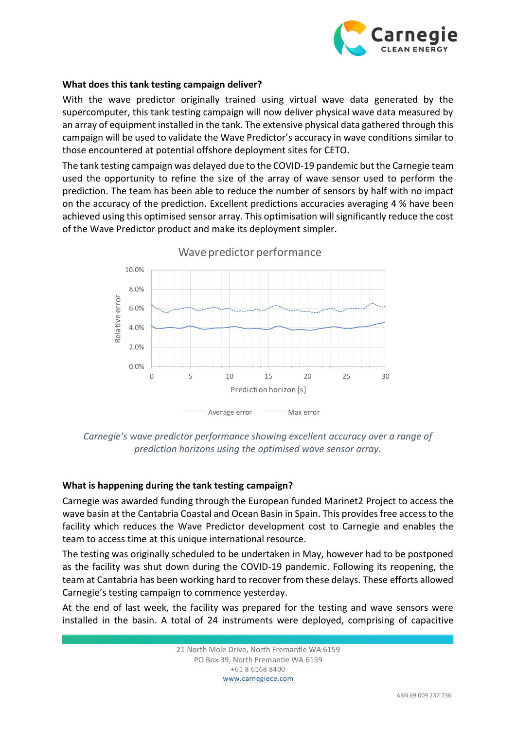

#### **What does this tank testing campaign deliver?**

With the wave predictor originally trained using virtual wave data generated by the supercomputer, this tank testing campaign will now deliver physical wave data measured by an array of equipment installed in the tank. The extensive physical data gathered through this campaign will be used to validate the Wave Predictor's accuracy in wave conditions similar to those encountered at potential offshore deployment sites for CETO.

The tank testing campaign was delayed due to the COVID-19 pandemic but the Carnegie team used the opportunity to refine the size of the array of wave sensor used to perform the prediction. The team has been able to reduce the number of sensors by half with no impact on the accuracy of the prediction. Excellent predictions accuracies averaging 4 % have been achieved using this optimised sensor array. This optimisation will significantly reduce the cost of the Wave Predictor product and make its deployment simpler.



*Carnegie's wave predictor performance showing excellent accuracy over a range of prediction horizons using the optimised wave sensor array.*

### **What is happening during the tank testing campaign?**

Carnegie was awarded funding through the European funded Marinet2 Project to access the wave basin at the Cantabria Coastal and Ocean Basin in Spain. This provides free access to the facility which reduces the Wave Predictor development cost to Carnegie and enables the team to access time at this unique international resource.

The testing was originally scheduled to be undertaken in May, however had to be postponed as the facility was shut down during the COVID-19 pandemic. Following its reopening, the team at Cantabria has been working hard to recover from these delays. These efforts allowed Carnegie's testing campaign to commence yesterday.

At the end of last week, the facility was prepared for the testing and wave sensors were installed in the basin. A total of 24 instruments were deployed, comprising of capacitive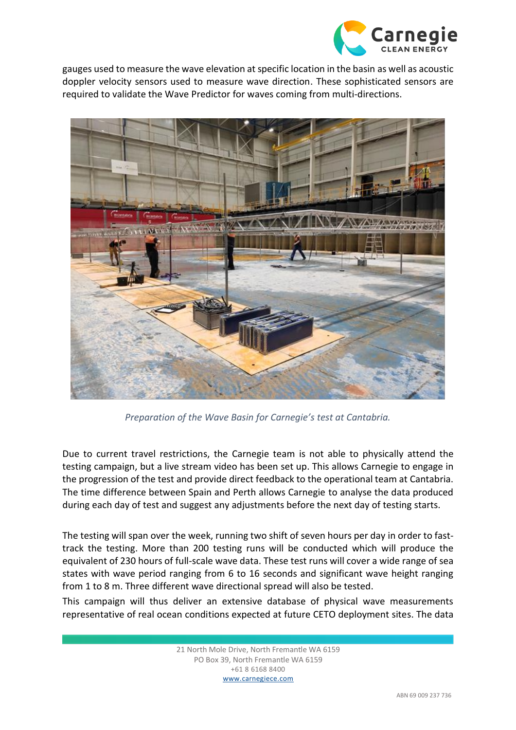

gauges used to measure the wave elevation at specific location in the basin as well as acoustic doppler velocity sensors used to measure wave direction. These sophisticated sensors are required to validate the Wave Predictor for waves coming from multi-directions.



*Preparation of the Wave Basin for Carnegie's test at Cantabria.*

Due to current travel restrictions, the Carnegie team is not able to physically attend the testing campaign, but a live stream video has been set up. This allows Carnegie to engage in the progression of the test and provide direct feedback to the operational team at Cantabria. The time difference between Spain and Perth allows Carnegie to analyse the data produced during each day of test and suggest any adjustments before the next day of testing starts.

The testing will span over the week, running two shift of seven hours per day in order to fasttrack the testing. More than 200 testing runs will be conducted which will produce the equivalent of 230 hours of full-scale wave data. These test runs will cover a wide range of sea states with wave period ranging from 6 to 16 seconds and significant wave height ranging from 1 to 8 m. Three different wave directional spread will also be tested.

This campaign will thus deliver an extensive database of physical wave measurements representative of real ocean conditions expected at future CETO deployment sites. The data

> 21 North Mole Drive, North Fremantle WA 6159 PO Box 39, North Fremantle WA 6159 +61 8 6168 8400 www.carnegiece.com